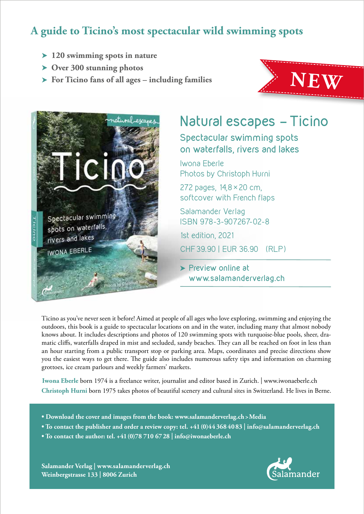## **A guide to Ticino's most spectacular wild swimming spots**

- **120 swimming spots in nature**
- **Over 300 stunning photos**
- **For Ticino fans of all ages including families**





# **Natural escapes - Ticino**

**Spectacular swimming spots on waterfalls, rivers and lakes**

Iwona Eberle Photos by Christoph Hurni

272 pages, 14,8× 20 cm, softcover with French flaps

Salamander Verlag ISBN 978-3-907267-02-8

1st edition, 2021

CHF39.90 | EUR 36.90 (RLP)

 **Preview online at www.salamanderverlag.ch**

Ticino as you've never seen it before! Aimed at people of all ages who love exploring, swimming and enjoying the outdoors, this book is a guide to spectacular locations on and in the water, including many that almost nobody knows about. It includes descriptions and photos of 120 swimming spots with turquoise-blue pools, sheer, dramatic cliffs, waterfalls draped in mist and secluded, sandy beaches. They can all be reached on foot in less than an hour starting from a public transport stop or parking area. Maps, coordinates and precise directions show you the easiest ways to get there. The guide also includes numerous safety tips and information on charming grottoes, ice cream parlours and weekly farmers' markets.

**Iwona Eberle** born 1974 is a freelance writer, journalist and editor based in Zurich. | www.iwonaeberle.ch **Christoph Hurni** born 1975 takes photos of beautiful scenery and cultural sites in Switzerland. He lives in Berne.

- **Download the cover and images from the book: www.salamanderverlag.ch>Media**
- **To contact the publisher and order a review copy: tel. +41(0)44 368 4083 | info@salamanderverlag.ch**
- **To contact the author: tel. +41(0)78 710 6728 | info@iwonaeberle.ch**

**Salamander Verlag | www.salamanderverlag.ch Weinbergstrasse 133 | 8006 Zurich**

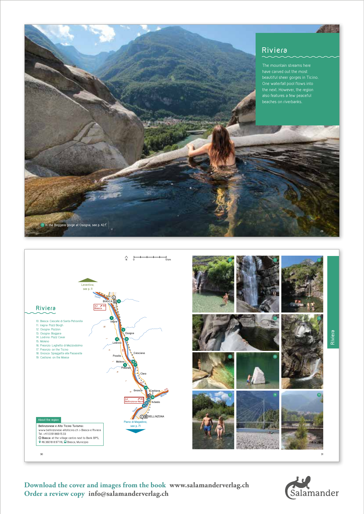### **Riviera**

beautiful sheer gorges in Ticino. One waterfall pool flows into the next. However, the region also features a few peaceful beaches on riverbanks.

**29**

**SASE** 

**Riviera**



Salamander

**Download the cover and images from the book www.salamanderverlag.ch Order a review copy info@salamanderverlag.ch**

13 **In the Boggera gorge at Osogna, see p. 42 f.**